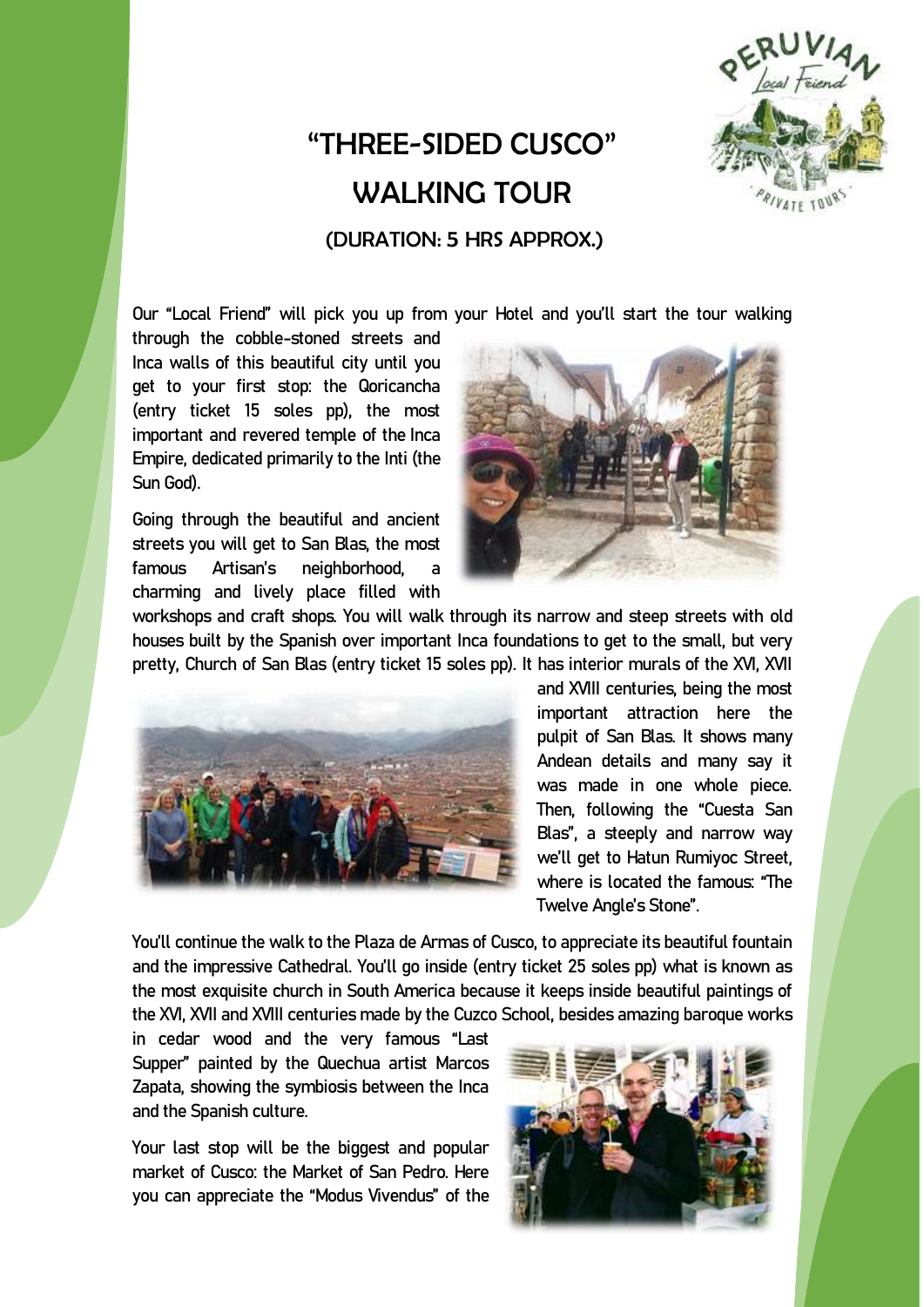

## "THREE-SIDED CUSCO" WALKING TOUR

(DURATION: 5 HRS APPROX.)

Our "Local Friend" will pick you up from your Hotel and you'll start the tour walking

through the cobble-stoned streets and Inca walls of this beautiful city until you get to your first stop: the Qoricancha (entry ticket 15 soles pp), the most important and revered temple of the Inca Empire, dedicated primarily to the Inti (the Sun God**).**

Going through the beautiful and ancient streets you will get to San Blas, the most famous Artisan's neighborhood, charming and lively place filled with



workshops and craft shops. You will walk through its narrow and steep streets with old houses built by the Spanish over important Inca foundations to get to the small, but very pretty, Church of San Blas (entry ticket 15 soles pp). It has interior murals of the XVI, XVII



and XVIII centuries, being the most important attraction here the pulpit of San Blas. It shows many Andean details and many say it was made in one whole piece. Then, following the "Cuesta San Blas", a steeply and narrow way we'll get to Hatun Rumiyoc Street, where is located the famous: "The Twelve Angle's Stone".

You'll continue the walk to the Plaza de Armas of Cusco, to appreciate its beautiful fountain and the impressive Cathedral. You'll go inside (entry ticket 25 soles pp) what is known as the most exquisite church in South America because it keeps inside beautiful paintings of the XVI, XVII and XVIII centuries made by the Cuzco School, besides amazing baroque works

in cedar wood and the very famous "Last Supper" painted by the Quechua artist Marcos Zapata, showing the symbiosis between the Inca and the Spanish culture.

Your last stop will be the biggest and popular market of Cusco: the Market of San Pedro. Here you can appreciate the "Modus Vivendus" of the